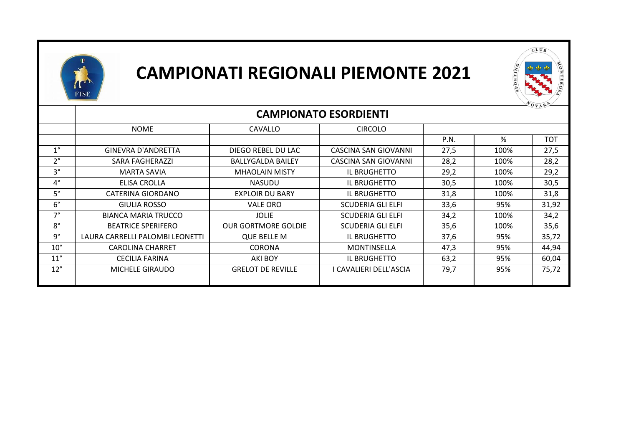



|              | $V_{A}$<br><b>CAMPIONATO ESORDIENTI</b> |                            |                             |      |      |            |
|--------------|-----------------------------------------|----------------------------|-----------------------------|------|------|------------|
|              | <b>NOME</b>                             | <b>CAVALLO</b>             | <b>CIRCOLO</b>              |      |      |            |
|              |                                         |                            |                             | P.N. | %    | <b>TOT</b> |
| $1^{\circ}$  | <b>GINEVRA D'ANDRETTA</b>               | DIEGO REBEL DU LAC         | CASCINA SAN GIOVANNI        | 27,5 | 100% | 27,5       |
| $2^{\circ}$  | SARA FAGHERAZZI                         | <b>BALLYGALDA BAILEY</b>   | <b>CASCINA SAN GIOVANNI</b> | 28,2 | 100% | 28,2       |
| $3^{\circ}$  | <b>MARTA SAVIA</b>                      | <b>MHAOLAIN MISTY</b>      | IL BRUGHETTO                | 29,2 | 100% | 29,2       |
| $4^{\circ}$  | ELISA CROLLA                            | <b>NASUDU</b>              | IL BRUGHETTO                | 30,5 | 100% | 30,5       |
| $5^\circ$    | CATERINA GIORDANO                       | <b>EXPLOIR DU BARY</b>     | IL BRUGHETTO                | 31,8 | 100% | 31,8       |
| $6^{\circ}$  | GIULIA ROSSO                            | <b>VALE ORO</b>            | <b>SCUDERIA GLI ELFI</b>    | 33,6 | 95%  | 31,92      |
| $7^\circ$    | <b>BIANCA MARIA TRUCCO</b>              | <b>JOLIE</b>               | <b>SCUDERIA GLI ELFI</b>    | 34,2 | 100% | 34,2       |
| $8^\circ$    | <b>BEATRICE SPERIFERO</b>               | <b>OUR GORTMORE GOLDIE</b> | <b>SCUDERIA GLI ELFI</b>    | 35,6 | 100% | 35,6       |
| g°           | LAURA CARRELLI PALOMBI LEONETTI         | <b>QUE BELLE M</b>         | IL BRUGHETTO                | 37,6 | 95%  | 35,72      |
| $10^{\circ}$ | <b>CAROLINA CHARRET</b>                 | <b>CORONA</b>              | MONTINSELLA                 | 47,3 | 95%  | 44,94      |
| $11^{\circ}$ | CECILIA FARINA                          | AKI BOY                    | IL BRUGHETTO                | 63,2 | 95%  | 60,04      |
| $12^{\circ}$ | MICHELE GIRAUDO                         | <b>GRELOT DE REVILLE</b>   | I CAVALIERI DELL'ASCIA      | 79,7 | 95%  | 75,72      |
|              |                                         |                            |                             |      |      |            |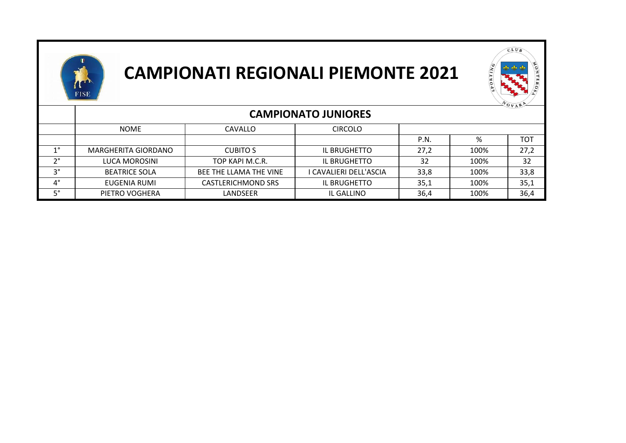



|             |                            |                           |                        |      |      | $\sqrt[n]{\mathbf{O}_{V}}$ AR <sup>P</sup> |
|-------------|----------------------------|---------------------------|------------------------|------|------|--------------------------------------------|
|             | <b>CAMPIONATO JUNIORES</b> |                           |                        |      |      |                                            |
|             | NOME                       | <b>CAVALLO</b>            | <b>CIRCOLO</b>         |      |      |                                            |
|             |                            |                           |                        | P.N. | %    | TOT                                        |
| 10          | MARGHERITA GIORDANO        | <b>CUBITO S</b>           | IL BRUGHETTO           | 27,2 | 100% | 27,2                                       |
| າ∘          | LUCA MOROSINI              | TOP KAPI M.C.R.           | IL BRUGHETTO           | 32   | 100% | 32                                         |
| າ∘          | <b>BEATRICE SOLA</b>       | BEE THE LLAMA THE VINE    | I CAVALIERI DELL'ASCIA | 33,8 | 100% | 33,8                                       |
| $4^{\circ}$ | EUGENIA RUMI               | <b>CASTLERICHMOND SRS</b> | IL BRUGHETTO           | 35,1 | 100% | 35,1                                       |
| ᆮᅌ          | PIETRO VOGHERA             | LANDSEER                  | IL GALLINO             | 36,4 | 100% | 36,4                                       |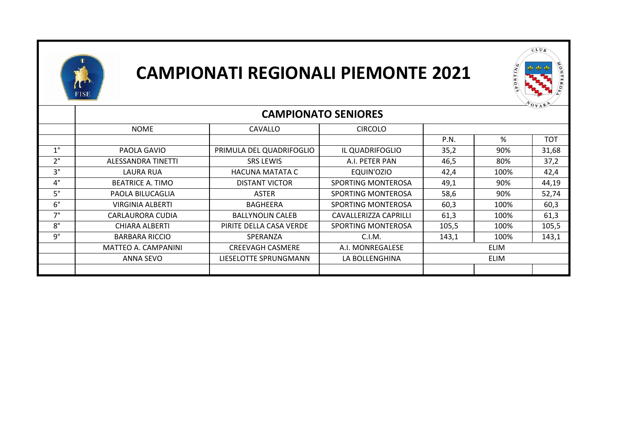



|             | $\mathbf{U} \mathbf{V} \mathbf{A}$<br><b>CAMPIONATO SENIORES</b> |                          |                       |             |      |            |
|-------------|------------------------------------------------------------------|--------------------------|-----------------------|-------------|------|------------|
|             | <b>NOME</b>                                                      | <b>CAVALLO</b>           | <b>CIRCOLO</b>        |             |      |            |
|             |                                                                  |                          |                       | P.N.        | %    | <b>TOT</b> |
| $1^{\circ}$ | PAOLA GAVIO                                                      | PRIMULA DEL QUADRIFOGLIO | IL QUADRIFOGLIO       | 35,2        | 90%  | 31,68      |
| $2^{\circ}$ | ALESSANDRA TINETTI                                               | <b>SRS LEWIS</b>         | A.I. PETER PAN        | 46,5        | 80%  | 37,2       |
| $3^\circ$   | LAURA RUA                                                        | <b>HACUNA MATATA C</b>   | EQUIN'OZIO            | 42,4        | 100% | 42,4       |
| $4^\circ$   | <b>BEATRICE A. TIMO</b>                                          | <b>DISTANT VICTOR</b>    | SPORTING MONTEROSA    | 49,1        | 90%  | 44,19      |
| $5^\circ$   | PAOLA BILUCAGLIA                                                 | ASTER                    | SPORTING MONTEROSA    | 58,6        | 90%  | 52,74      |
| $6^{\circ}$ | VIRGINIA ALBERTI                                                 | BAGHEERA                 | SPORTING MONTEROSA    | 60,3        | 100% | 60,3       |
| $7^\circ$   | CARLAURORA CUDIA                                                 | <b>BALLYNOLIN CALEB</b>  | CAVALLERIZZA CAPRILLI | 61,3        | 100% | 61,3       |
| $8^\circ$   | CHIARA ALBERTI                                                   | PIRITE DELLA CASA VERDE  | SPORTING MONTEROSA    | 105,5       | 100% | 105,5      |
| g°          | <b>BARBARA RICCIO</b>                                            | SPERANZA                 | C.I.M.                | 143,1       | 100% | 143,1      |
|             | MATTEO A. CAMPANINI                                              | <b>CREEVAGH CASMERE</b>  | A.I. MONREGALESE      | <b>ELIM</b> |      |            |
|             | ANNA SEVO                                                        | LIESELOTTE SPRUNGMANN    | LA BOLLENGHINA        | <b>ELIM</b> |      |            |
|             |                                                                  |                          |                       |             |      |            |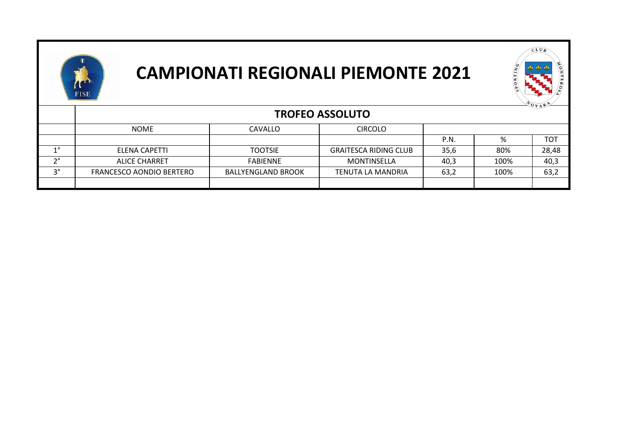



|    |                          |                           |                              |      |      | VOVAR      |  |
|----|--------------------------|---------------------------|------------------------------|------|------|------------|--|
|    | <b>TROFEO ASSOLUTO</b>   |                           |                              |      |      |            |  |
|    | <b>NOME</b>              | CAVALLO                   | <b>CIRCOLO</b>               |      |      |            |  |
|    |                          |                           |                              | P.N. | %    | <b>TOT</b> |  |
| 10 | ELENA CAPETTI            | <b>TOOTSIE</b>            | <b>GRAITESCA RIDING CLUB</b> | 35,6 | 80%  | 28,48      |  |
| no | <b>ALICE CHARRET</b>     | <b>FABIENNE</b>           | MONTINSELLA                  | 40,3 | 100% | 40,3       |  |
| no | FRANCESCO AONDIO BERTERO | <b>BALLYENGLAND BROOK</b> | TENUTA LA MANDRIA            | 63,2 | 100% | 63,2       |  |
|    |                          |                           |                              |      |      |            |  |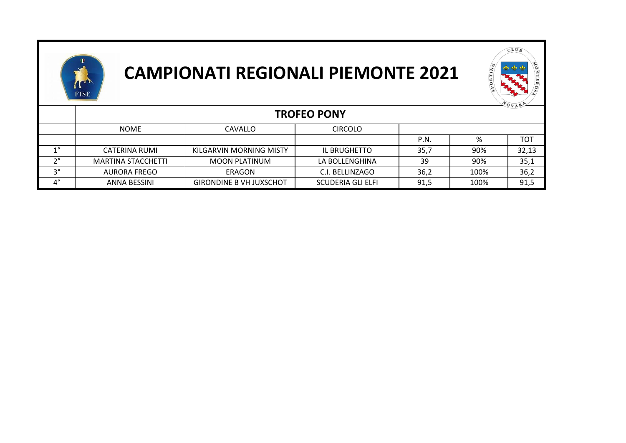



|                            |                           |                                |                   |      |      | VOVAR      |
|----------------------------|---------------------------|--------------------------------|-------------------|------|------|------------|
|                            | <b>TROFEO PONY</b>        |                                |                   |      |      |            |
|                            | <b>NOME</b>               | <b>CAVALLO</b>                 | <b>CIRCOLO</b>    |      |      |            |
|                            |                           |                                |                   | P.N. | %    | <b>TOT</b> |
| 10                         | CATERINA RUMI             | KILGARVIN MORNING MISTY        | IL BRUGHETTO      | 35,7 | 90%  | 32,13      |
| າ∘                         | <b>MARTINA STACCHETTI</b> | MOON PLATINUM                  | LA BOLLENGHINA    | 39   | 90%  | 35,1       |
| າ∘                         | AURORA FREGO              | ERAGON                         | C.I. BELLINZAGO   | 36,2 | 100% | 36,2       |
| $\mathbf{\Lambda}^{\circ}$ | ANNA BESSINI              | <b>GIRONDINE B VH JUXSCHOT</b> | SCUDERIA GLI ELFI | 91,5 | 100% | 91,5       |